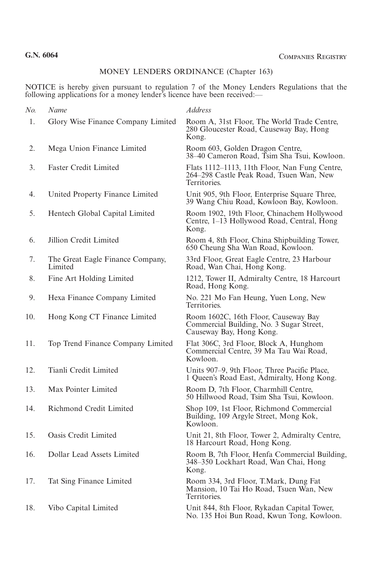## MONEY LENDERS ORDINANCE (Chapter 163)

NOTICE is hereby given pursuant to regulation 7 of the Money Lenders Regulations that the following applications for a money lender's licence have been received:—

| No. | Name                                        | <b>Address</b>                                                                                               |
|-----|---------------------------------------------|--------------------------------------------------------------------------------------------------------------|
| 1.  | Glory Wise Finance Company Limited          | Room A, 31st Floor, The World Trade Centre,<br>280 Gloucester Road, Causeway Bay, Hong<br>Kong.              |
| 2.  | Mega Union Finance Limited                  | Room 603, Golden Dragon Centre,<br>38-40 Cameron Road, Tsim Sha Tsui, Kowloon.                               |
| 3.  | <b>Faster Credit Limited</b>                | Flats 1112–1113, 11th Floor, Nan Fung Centre,<br>264-298 Castle Peak Road, Tsuen Wan, New<br>Territories.    |
| 4.  | United Property Finance Limited             | Unit 905, 9th Floor, Enterprise Square Three,<br>39 Wang Chiu Road, Kowloon Bay, Kowloon.                    |
| 5.  | Hentech Global Capital Limited              | Room 1902, 19th Floor, Chinachem Hollywood<br>Centre, 1–13 Hollywood Road, Central, Hong<br>Kong.            |
| 6.  | Jillion Credit Limited                      | Room 4, 8th Floor, China Shipbuilding Tower,<br>650 Cheung Sha Wan Road, Kowloon.                            |
| 7.  | The Great Eagle Finance Company,<br>Limited | 33rd Floor, Great Eagle Centre, 23 Harbour<br>Road, Wan Chai, Hong Kong.                                     |
| 8.  | Fine Art Holding Limited                    | 1212, Tower II, Admiralty Centre, 18 Harcourt<br>Road, Hong Kong.                                            |
| 9.  | Hexa Finance Company Limited                | No. 221 Mo Fan Heung, Yuen Long, New<br>Territories.                                                         |
| 10. | Hong Kong CT Finance Limited                | Room 1602C, 16th Floor, Causeway Bay<br>Commercial Building, No. 3 Sugar Street,<br>Causeway Bay, Hong Kong. |
| 11. | Top Trend Finance Company Limited           | Flat 306C, 3rd Floor, Block A, Hunghom<br>Commercial Centre, 39 Ma Tau Wai Road,<br>Kowloon.                 |
| 12. | Tianli Credit Limited                       | Units 907-9, 9th Floor, Three Pacific Place,<br>1 Queen's Road East, Admiralty, Hong Kong.                   |
| 13. | Max Pointer Limited                         | Room D, 7th Floor, Charmhill Centre,<br>50 Hillwood Road, Tsim Sha Tsui, Kowloon.                            |
| 14. | Richmond Credit Limited                     | Shop 109, 1st Floor, Richmond Commercial<br>Building, 109 Argyle Street, Mong Kok,<br>Kowloon.               |
| 15. | Oasis Credit Limited                        | Unit 21, 8th Floor, Tower 2, Admiralty Centre,<br>18 Harcourt Road, Hong Kong.                               |
| 16. | Dollar Lead Assets Limited                  | Room B, 7th Floor, Henfa Commercial Building,<br>348-350 Lockhart Road, Wan Chai, Hong<br>Kong.              |
| 17. | Tat Sing Finance Limited                    | Room 334, 3rd Floor, T.Mark, Dung Fat<br>Mansion, 10 Tai Ho Road, Tsuen Wan, New<br>Territories.             |
| 18. | Vibo Capital Limited                        | Unit 844, 8th Floor, Rykadan Capital Tower,<br>No. 135 Hoi Bun Road, Kwun Tong, Kowloon.                     |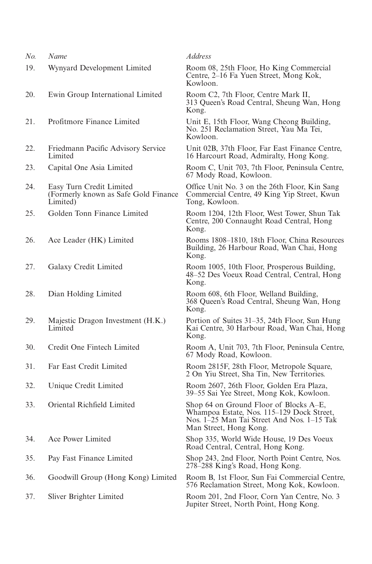| No. | Name                                                                          | <b>Address</b>                                                                                                                                              |
|-----|-------------------------------------------------------------------------------|-------------------------------------------------------------------------------------------------------------------------------------------------------------|
| 19. | Wynyard Development Limited                                                   | Room 08, 25th Floor, Ho King Commercial<br>Centre, 2–16 Fa Yuen Street, Mong Kok,<br>Kowloon.                                                               |
| 20. | Ewin Group International Limited                                              | Room C2, 7th Floor, Centre Mark II,<br>313 Queen's Road Central, Sheung Wan, Hong<br>Kong.                                                                  |
| 21. | Profitmore Finance Limited                                                    | Unit E, 15th Floor, Wang Cheong Building,<br>No. 251 Reclamation Street, Yau Ma Tei,<br>Kowloon.                                                            |
| 22. | Friedmann Pacific Advisory Service<br>Limited                                 | Unit 02B, 37th Floor, Far East Finance Centre,<br>16 Harcourt Road, Admiralty, Hong Kong.                                                                   |
| 23. | Capital One Asia Limited                                                      | Room C, Unit 703, 7th Floor, Peninsula Centre,<br>67 Mody Road, Kowloon.                                                                                    |
| 24. | Easy Turn Credit Limited<br>(Formerly known as Safe Gold Finance)<br>Limited) | Office Unit No. 3 on the 26th Floor, Kin Sang<br>Commercial Centre, 49 King Yip Street, Kwun<br>Tong, Kowloon.                                              |
| 25. | Golden Tonn Finance Limited                                                   | Room 1204, 12th Floor, West Tower, Shun Tak<br>Centre, 200 Connaught Road Central, Hong<br>Kong.                                                            |
| 26. | Ace Leader (HK) Limited                                                       | Rooms 1808–1810, 18th Floor, China Resources<br>Building, 26 Harbour Road, Wan Chai, Hong<br>Kong.                                                          |
| 27. | Galaxy Credit Limited                                                         | Room 1005, 10th Floor, Prosperous Building,<br>48-52 Des Voeux Road Central, Central, Hong<br>Kong.                                                         |
| 28. | Dian Holding Limited                                                          | Room 608, 6th Floor, Welland Building,<br>368 Queen's Road Central, Sheung Wan, Hong<br>Kong.                                                               |
| 29. | Majestic Dragon Investment (H.K.)<br>Limited                                  | Portion of Suites 31-35, 24th Floor, Sun Hung<br>Kai Centre, 30 Harbour Road, Wan Chai, Hong<br>Kong.                                                       |
| 30. | Credit One Fintech Limited                                                    | Room A, Unit 703, 7th Floor, Peninsula Centre,<br>67 Mody Road, Kowloon.                                                                                    |
| 31. | Far East Credit Limited                                                       | Room 2815F, 28th Floor, Metropole Square,<br>2 On Yiu Street, Sha Tin, New Territories.                                                                     |
| 32. | Unique Credit Limited                                                         | Room 2607, 26th Floor, Golden Era Plaza,<br>39-55 Sai Yee Street, Mong Kok, Kowloon.                                                                        |
| 33. | Oriental Richfield Limited                                                    | Shop 64 on Ground Floor of Blocks A–E,<br>Whampoa Estate, Nos. 115-129 Dock Street,<br>Nos. 1–25 Man Tai Street And Nos. 1–15 Tak<br>Man Street, Hong Kong. |
| 34. | Ace Power Limited                                                             | Shop 335, World Wide House, 19 Des Voeux<br>Road Central, Central, Hong Kong.                                                                               |
| 35. | Pay Fast Finance Limited                                                      | Shop 243, 2nd Floor, North Point Centre, Nos.<br>278–288 King's Road, Hong Kong.                                                                            |
| 36. | Goodwill Group (Hong Kong) Limited                                            | Room B, 1st Floor, Sun Fai Commercial Centre,<br>576 Reclamation Street, Mong Kok, Kowloon.                                                                 |
| 37. | Sliver Brighter Limited                                                       | Room 201, 2nd Floor, Corn Yan Centre, No. 3<br>Jupiter Street, North Point, Hong Kong.                                                                      |